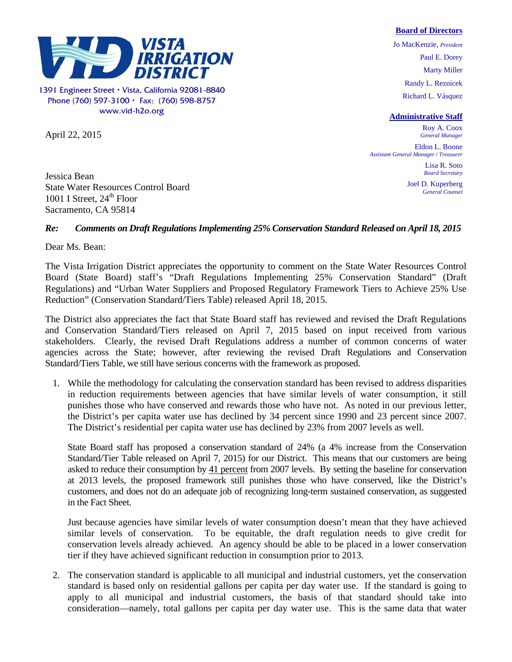## **Board of Directors**



1391 Engineer Street Vista, California 92081-8840 Phone (760) 597-3100  $\cdot$  Fax: (760) 598-8757 www.vid-h2o.org

April 22, 2015

Jo MacKenzie, *President*  Paul E. Dorey Marty Miller Randy L. Reznicek Richard L. Vásquez

## **Administrative Staff**

Roy A. Coox *General Manager* 

Eldon L. Boone *Assistant General Manager / Treasurer* 

> Lisa R. Soto *Board Secretary*

Joel D. Kuperberg *General Counsel* 

Jessica Bean State Water Resources Control Board 1001 I Street,  $24<sup>th</sup>$  Floor Sacramento, CA 95814

## *Re: Comments on Draft Regulations Implementing 25% Conservation Standard Released on April 18, 2015*

Dear Ms. Bean:

The Vista Irrigation District appreciates the opportunity to comment on the State Water Resources Control Board (State Board) staff's "Draft Regulations Implementing 25% Conservation Standard" (Draft Regulations) and "Urban Water Suppliers and Proposed Regulatory Framework Tiers to Achieve 25% Use Reduction" (Conservation Standard/Tiers Table) released April 18, 2015.

The District also appreciates the fact that State Board staff has reviewed and revised the Draft Regulations and Conservation Standard/Tiers released on April 7, 2015 based on input received from various stakeholders. Clearly, the revised Draft Regulations address a number of common concerns of water agencies across the State; however, after reviewing the revised Draft Regulations and Conservation Standard/Tiers Table, we still have serious concerns with the framework as proposed.

1. While the methodology for calculating the conservation standard has been revised to address disparities in reduction requirements between agencies that have similar levels of water consumption, it still punishes those who have conserved and rewards those who have not. As noted in our previous letter, the District's per capita water use has declined by 34 percent since 1990 and 23 percent since 2007. The District's residential per capita water use has declined by 23% from 2007 levels as well.

State Board staff has proposed a conservation standard of 24% (a 4% increase from the Conservation Standard/Tier Table released on April 7, 2015) for our District. This means that our customers are being asked to reduce their consumption by 41 percent from 2007 levels. By setting the baseline for conservation at 2013 levels, the proposed framework still punishes those who have conserved, like the District's customers, and does not do an adequate job of recognizing long-term sustained conservation, as suggested in the Fact Sheet.

Just because agencies have similar levels of water consumption doesn't mean that they have achieved similar levels of conservation. To be equitable, the draft regulation needs to give credit for conservation levels already achieved. An agency should be able to be placed in a lower conservation tier if they have achieved significant reduction in consumption prior to 2013.

2. The conservation standard is applicable to all municipal and industrial customers, yet the conservation standard is based only on residential gallons per capita per day water use. If the standard is going to apply to all municipal and industrial customers, the basis of that standard should take into consideration—namely, total gallons per capita per day water use. This is the same data that water